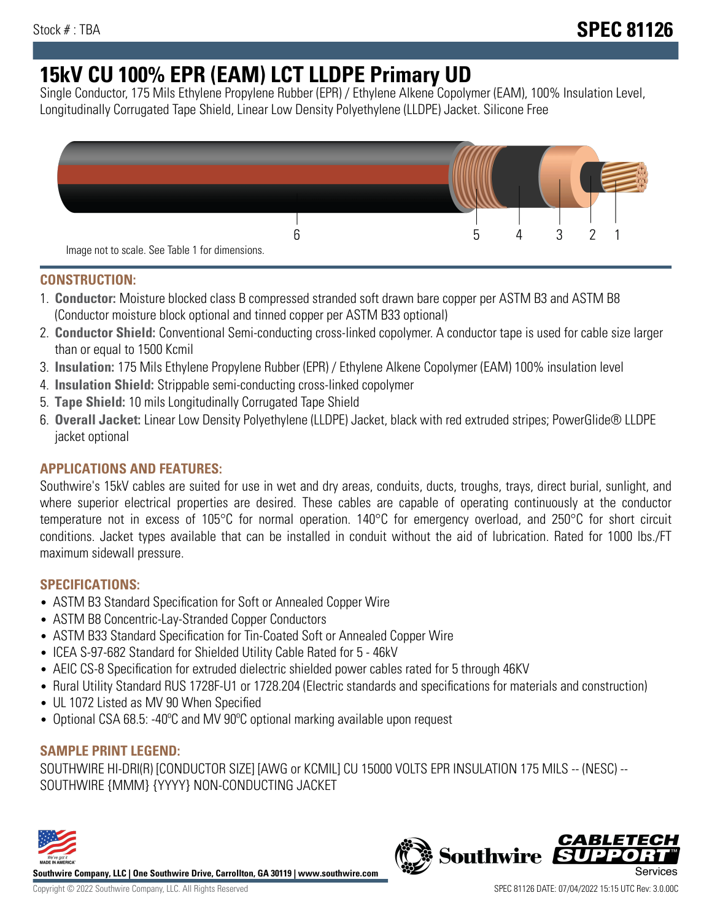# **15kV CU 100% EPR (EAM) LCT LLDPE Primary UD**

Single Conductor, 175 Mils Ethylene Propylene Rubber (EPR) / Ethylene Alkene Copolymer (EAM), 100% Insulation Level, Longitudinally Corrugated Tape Shield, Linear Low Density Polyethylene (LLDPE) Jacket. Silicone Free



### **CONSTRUCTION:**

- 1. **Conductor:** Moisture blocked class B compressed stranded soft drawn bare copper per ASTM B3 and ASTM B8 (Conductor moisture block optional and tinned copper per ASTM B33 optional)
- 2. **Conductor Shield:** Conventional Semi-conducting cross-linked copolymer. A conductor tape is used for cable size larger than or equal to 1500 Kcmil
- 3. **Insulation:** 175 Mils Ethylene Propylene Rubber (EPR) / Ethylene Alkene Copolymer (EAM) 100% insulation level
- 4. **Insulation Shield:** Strippable semi-conducting cross-linked copolymer
- 5. **Tape Shield:** 10 mils Longitudinally Corrugated Tape Shield
- 6. **Overall Jacket:** Linear Low Density Polyethylene (LLDPE) Jacket, black with red extruded stripes; PowerGlide® LLDPE jacket optional

## **APPLICATIONS AND FEATURES:**

Southwire's 15kV cables are suited for use in wet and dry areas, conduits, ducts, troughs, trays, direct burial, sunlight, and where superior electrical properties are desired. These cables are capable of operating continuously at the conductor temperature not in excess of 105°C for normal operation. 140°C for emergency overload, and 250°C for short circuit conditions. Jacket types available that can be installed in conduit without the aid of lubrication. Rated for 1000 lbs./FT maximum sidewall pressure.

#### **SPECIFICATIONS:**

- ASTM B3 Standard Specification for Soft or Annealed Copper Wire
- ASTM B8 Concentric-Lay-Stranded Copper Conductors
- ASTM B33 Standard Specification for Tin-Coated Soft or Annealed Copper Wire
- ICEA S-97-682 Standard for Shielded Utility Cable Rated for 5 46kV
- AEIC CS-8 Specification for extruded dielectric shielded power cables rated for 5 through 46KV
- Rural Utility Standard RUS 1728F-U1 or 1728.204 (Electric standards and specifications for materials and construction)
- UL 1072 Listed as MV 90 When Specified
- Optional CSA 68.5: -40ºC and MV 90ºC optional marking available upon request

#### **SAMPLE PRINT LEGEND:**

SOUTHWIRE HI-DRI(R) [CONDUCTOR SIZE] [AWG or KCMIL] CU 15000 VOLTS EPR INSULATION 175 MILS -- (NESC) -- SOUTHWIRE {MMM} {YYYY} NON-CONDUCTING JACKET



**Southwire Company, LLC | One Southwire Drive, Carrollton, GA 30119 | www.southwire.com**